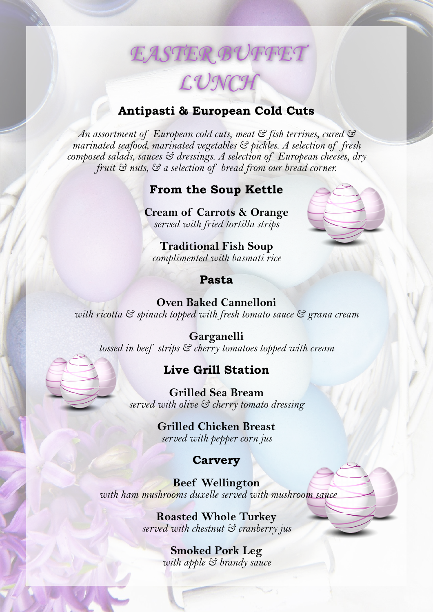# *EASTER BUFFET LUNCH*

#### **Antipasti & European Cold Cuts**

*An assortment of European cold cuts, meat & fish terrines, cured & marinated seafood, marinated vegetables & pickles. A selection of fresh composed salads, sauces & dressings. A selection of European cheeses, dry fruit & nuts, & a selection of bread from our bread corner.*

# **From the Soup Kettle**

**Cream of Carrots & Orange**  *served with fried tortilla strips* 

**Traditional Fish Soup**  *complimented with basmati rice*

#### **Pasta**

**Oven Baked Cannelloni**  *with ricotta & spinach topped with fresh tomato sauce & grana cream*

**Garganelli** *tossed in beef strips & cherry tomatoes topped with cream*

#### **Live Grill Station**

**Grilled Sea Bream**  *served with olive & cherry tomato dressing* 

> **Grilled Chicken Breast**  *served with pepper corn jus*

## **Carvery**

**Beef Wellington**  *with ham mushrooms duxelle served with mushroom sauce*

> **Roasted Whole Turkey**  *served with chestnut & cranberry jus*

> > **Smoked Pork Leg** *with apple & brandy sauce*